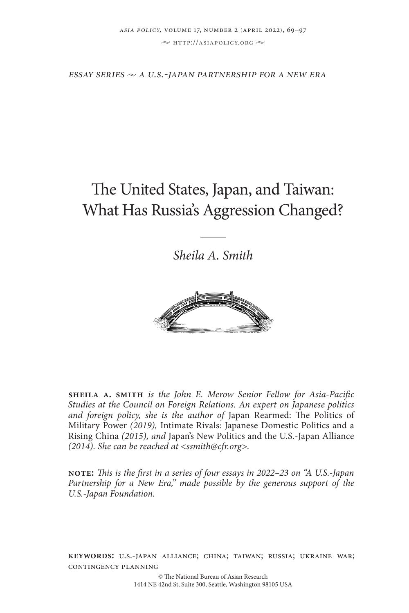$\sim$  http://asiapolicy.org  $\sim$ 

 $ESSAY$  *series*  $\sim$  *A U.S.-JAPAN PARTNERSHIP FOR A NEW ERA* 

# The United States, Japan, and Taiwan: What Has Russia's Aggression Changed?

*Sheila A. Smith*



**sheila a. smith** *is the John E. Merow Senior Fellow for Asia-Pacific Studies at the Council on Foreign Relations. An expert on Japanese politics and foreign policy, she is the author of* Japan Rearmed: The Politics of Military Power *(2019),* Intimate Rivals: Japanese Domestic Politics and a Rising China *(2015), and* Japan's New Politics and the U.S.-Japan Alliance *(2014). She can be reached at <ssmith@cfr.org>.* 

**note:** *This is the first in a series of four essays in 2022–23 on "A U.S.-Japan Partnership for a New Era," made possible by the generous support of the U.S.-Japan Foundation.*

**keywords:** u.s.-japan alliance; china; taiwan; russia; ukraine war; contingency planning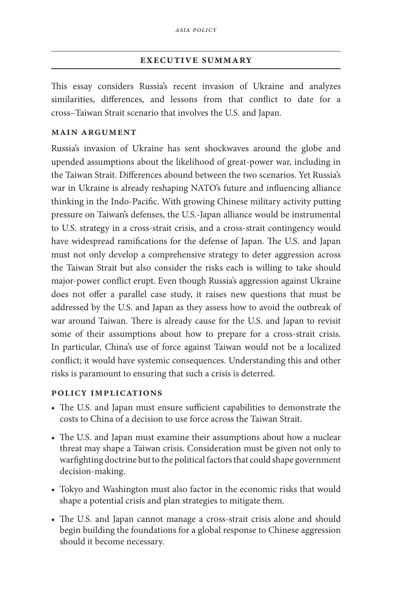### **executive summary**

This essay considers Russia's recent invasion of Ukraine and analyzes similarities, differences, and lessons from that conflict to date for a cross–Taiwan Strait scenario that involves the U.S. and Japan.

### **main argument**

Russia's invasion of Ukraine has sent shockwaves around the globe and upended assumptions about the likelihood of great-power war, including in the Taiwan Strait. Differences abound between the two scenarios. Yet Russia's war in Ukraine is already reshaping NATO's future and influencing alliance thinking in the Indo-Pacific. With growing Chinese military activity putting pressure on Taiwan's defenses, the U.S.-Japan alliance would be instrumental to U.S. strategy in a cross-strait crisis, and a cross-strait contingency would have widespread ramifications for the defense of Japan. The U.S. and Japan must not only develop a comprehensive strategy to deter aggression across the Taiwan Strait but also consider the risks each is willing to take should major-power conflict erupt. Even though Russia's aggression against Ukraine does not offer a parallel case study, it raises new questions that must be addressed by the U.S. and Japan as they assess how to avoid the outbreak of war around Taiwan. There is already cause for the U.S. and Japan to revisit some of their assumptions about how to prepare for a cross-strait crisis. In particular, China's use of force against Taiwan would not be a localized conflict; it would have systemic consequences. Understanding this and other risks is paramount to ensuring that such a crisis is deterred.

### **policy implications**

- The U.S. and Japan must ensure sufficient capabilities to demonstrate the costs to China of a decision to use force across the Taiwan Strait.
- The U.S. and Japan must examine their assumptions about how a nuclear threat may shape a Taiwan crisis. Consideration must be given not only to warfighting doctrine but to the political factors that could shape government decision-making.
- Tokyo and Washington must also factor in the economic risks that would shape a potential crisis and plan strategies to mitigate them.
- The U.S. and Japan cannot manage a cross-strait crisis alone and should begin building the foundations for a global response to Chinese aggression should it become necessary.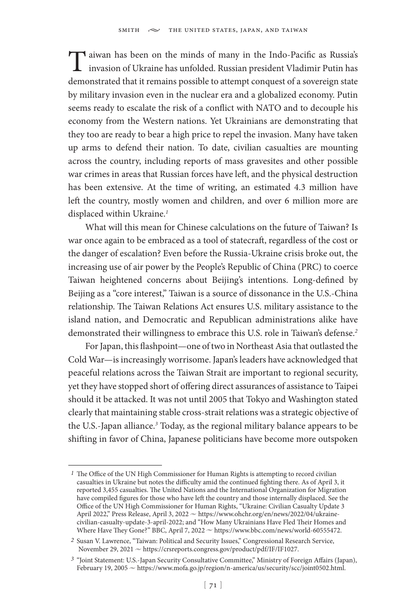Taiwan has been on the minds of many in the Indo-Pacific as Russia's<br>invasion of Ukraine has unfolded. Russian president Vladimir Putin has demonstrated that it remains possible to attempt conquest of a sovereign state by military invasion even in the nuclear era and a globalized economy. Putin seems ready to escalate the risk of a conflict with NATO and to decouple his economy from the Western nations. Yet Ukrainians are demonstrating that they too are ready to bear a high price to repel the invasion. Many have taken up arms to defend their nation. To date, civilian casualties are mounting across the country, including reports of mass gravesites and other possible war crimes in areas that Russian forces have left, and the physical destruction has been extensive. At the time of writing, an estimated 4.3 million have left the country, mostly women and children, and over 6 million more are displaced within Ukraine.*<sup>1</sup>*

What will this mean for Chinese calculations on the future of Taiwan? Is war once again to be embraced as a tool of statecraft, regardless of the cost or the danger of escalation? Even before the Russia-Ukraine crisis broke out, the increasing use of air power by the People's Republic of China (PRC) to coerce Taiwan heightened concerns about Beijing's intentions. Long-defined by Beijing as a "core interest," Taiwan is a source of dissonance in the U.S.-China relationship. The Taiwan Relations Act ensures U.S. military assistance to the island nation, and Democratic and Republican administrations alike have demonstrated their willingness to embrace this U.S. role in Taiwan's defense.*<sup>2</sup>*

For Japan, this flashpoint—one of two in Northeast Asia that outlasted the Cold War—is increasingly worrisome. Japan's leaders have acknowledged that peaceful relations across the Taiwan Strait are important to regional security, yet they have stopped short of offering direct assurances of assistance to Taipei should it be attacked. It was not until 2005 that Tokyo and Washington stated clearly that maintaining stable cross-strait relations was a strategic objective of the U.S.-Japan alliance.*<sup>3</sup>* Today, as the regional military balance appears to be shifting in favor of China, Japanese politicians have become more outspoken

*<sup>1</sup>* The Office of the UN High Commissioner for Human Rights is attempting to record civilian casualties in Ukraine but notes the difficulty amid the continued fighting there. As of April 3, it reported 3,455 casualties. The United Nations and the International Organization for Migration have compiled figures for those who have left the country and those internally displaced. See the Office of the UN High Commissioner for Human Rights, "Ukraine: Civilian Casualty Update 3 April 2022," Press Release, April 3, 2022 ~ https://www.ohchr.org/en/news/2022/04/ukrainecivilian-casualty-update-3-april-2022; and "How Many Ukrainians Have Fled Their Homes and Where Have They Gone?" BBC, April 7, 2022  $\sim$  https://www.bbc.com/news/world-60555472.

*<sup>2</sup>* Susan V. Lawrence, "Taiwan: Political and Security Issues," Congressional Research Service, November 29, 2021  $\sim$  https://crsreports.congress.gov/product/pdf/IF/IF1027.

*<sup>3</sup>* "Joint Statement: U.S.-Japan Security Consultative Committee," Ministry of Foreign Affairs (Japan), February 19, 2005  $\sim$  https://www.mofa.go.jp/region/n-america/us/security/scc/joint0502.html.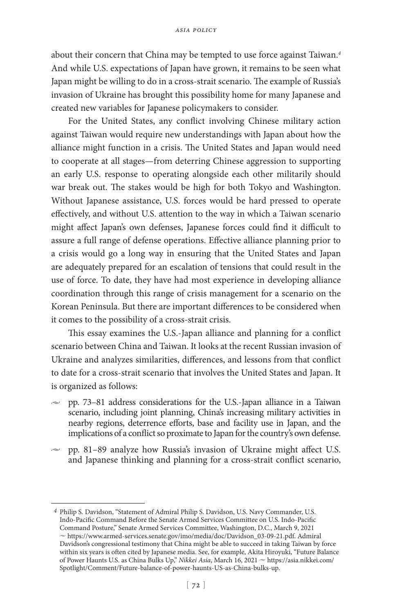about their concern that China may be tempted to use force against Taiwan.*<sup>4</sup>* And while U.S. expectations of Japan have grown, it remains to be seen what Japan might be willing to do in a cross-strait scenario. The example of Russia's invasion of Ukraine has brought this possibility home for many Japanese and created new variables for Japanese policymakers to consider.

For the United States, any conflict involving Chinese military action against Taiwan would require new understandings with Japan about how the alliance might function in a crisis. The United States and Japan would need to cooperate at all stages—from deterring Chinese aggression to supporting an early U.S. response to operating alongside each other militarily should war break out. The stakes would be high for both Tokyo and Washington. Without Japanese assistance, U.S. forces would be hard pressed to operate effectively, and without U.S. attention to the way in which a Taiwan scenario might affect Japan's own defenses, Japanese forces could find it difficult to assure a full range of defense operations. Effective alliance planning prior to a crisis would go a long way in ensuring that the United States and Japan are adequately prepared for an escalation of tensions that could result in the use of force. To date, they have had most experience in developing alliance coordination through this range of crisis management for a scenario on the Korean Peninsula. But there are important differences to be considered when it comes to the possibility of a cross-strait crisis.

This essay examines the U.S.-Japan alliance and planning for a conflict scenario between China and Taiwan. It looks at the recent Russian invasion of Ukraine and analyzes similarities, differences, and lessons from that conflict to date for a cross-strait scenario that involves the United States and Japan. It is organized as follows:

- $\approx$  pp. 73–81 address considerations for the U.S.-Japan alliance in a Taiwan scenario, including joint planning, China's increasing military activities in nearby regions, deterrence efforts, base and facility use in Japan, and the implications of a conflict so proximate to Japan for the country's own defense.
- $\sim$  pp. 81–89 analyze how Russia's invasion of Ukraine might affect U.S. and Japanese thinking and planning for a cross-strait conflict scenario,

*<sup>4</sup>* Philip S. Davidson, "Statement of Admiral Philip S. Davidson, U.S. Navy Commander, U.S. Indo-Pacific Command Before the Senate Armed Services Committee on U.S. Indo-Pacific Command Posture," Senate Armed Services Committee, Washington, D.C., March 9, 2021  $\sim$  https://www.armed-services.senate.gov/imo/media/doc/Davidson\_03-09-21.pdf. Admiral Davidson's congressional testimony that China might be able to succeed in taking Taiwan by force within six years is often cited by Japanese media. See, for example, Akita Hiroyuki, "Future Balance of Power Haunts U.S. as China Bulks Up," *Nikkei Asia*, March 16, 2021 ~ https://asia.nikkei.com/ Spotlight/Comment/Future-balance-of-power-haunts-US-as-China-bulks-up.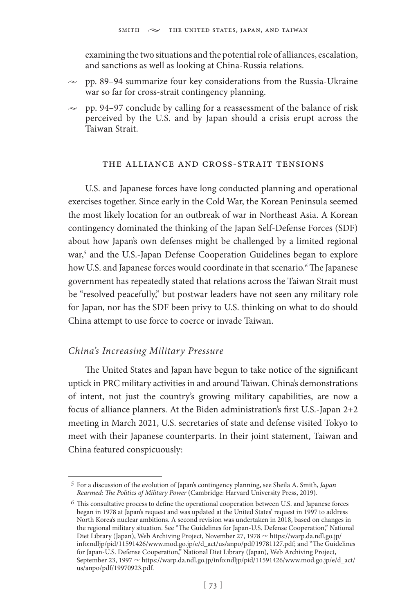examining the two situations and the potential role of alliances, escalation, and sanctions as well as looking at China-Russia relations.

- $\approx$  pp. 89–94 summarize four key considerations from the Russia-Ukraine war so far for cross-strait contingency planning.
- $\approx$  pp. 94–97 conclude by calling for a reassessment of the balance of risk perceived by the U.S. and by Japan should a crisis erupt across the Taiwan Strait.

### the alliance and cross-strait tensions

U.S. and Japanese forces have long conducted planning and operational exercises together. Since early in the Cold War, the Korean Peninsula seemed the most likely location for an outbreak of war in Northeast Asia. A Korean contingency dominated the thinking of the Japan Self-Defense Forces (SDF) about how Japan's own defenses might be challenged by a limited regional war,*<sup>5</sup>* and the U.S.-Japan Defense Cooperation Guidelines began to explore how U.S. and Japanese forces would coordinate in that scenario.*<sup>6</sup>* The Japanese government has repeatedly stated that relations across the Taiwan Strait must be "resolved peacefully," but postwar leaders have not seen any military role for Japan, nor has the SDF been privy to U.S. thinking on what to do should China attempt to use force to coerce or invade Taiwan.

## *China's Increasing Military Pressure*

The United States and Japan have begun to take notice of the significant uptick in PRC military activities in and around Taiwan. China's demonstrations of intent, not just the country's growing military capabilities, are now a focus of alliance planners. At the Biden administration's first U.S.-Japan 2+2 meeting in March 2021, U.S. secretaries of state and defense visited Tokyo to meet with their Japanese counterparts. In their joint statement, Taiwan and China featured conspicuously:

*<sup>5</sup>* For a discussion of the evolution of Japan's contingency planning, see Sheila A. Smith, *Japan Rearmed: The Politics of Military Power* (Cambridge: Harvard University Press, 2019).

*<sup>6</sup>* This consultative process to define the operational cooperation between U.S. and Japanese forces began in 1978 at Japan's request and was updated at the United States' request in 1997 to address North Korea's nuclear ambitions. A second revision was undertaken in 2018, based on changes in the regional military situation. See "The Guidelines for Japan-U.S. Defense Cooperation," National Diet Library (Japan), Web Archiving Project, November 27, 1978  $\sim$  https://warp.da.ndl.go.jp/ info:ndljp/pid/11591426/www.mod.go.jp/e/d\_act/us/anpo/pdf/19781127.pdf; and "The Guidelines for Japan-U.S. Defense Cooperation," National Diet Library (Japan), Web Archiving Project, September 23, 1997  $\sim$  https://warp.da.ndl.go.jp/info:ndljp/pid/11591426/www.mod.go.jp/e/d\_act/ us/anpo/pdf/19970923.pdf.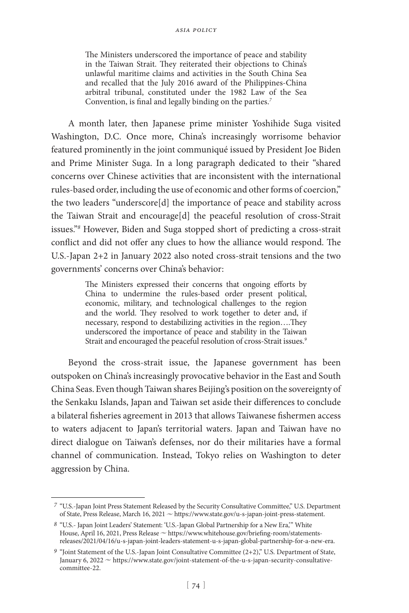The Ministers underscored the importance of peace and stability in the Taiwan Strait. They reiterated their objections to China's unlawful maritime claims and activities in the South China Sea and recalled that the July 2016 award of the Philippines-China arbitral tribunal, constituted under the 1982 Law of the Sea Convention, is final and legally binding on the parties.*<sup>7</sup>*

A month later, then Japanese prime minister Yoshihide Suga visited Washington, D.C. Once more, China's increasingly worrisome behavior featured prominently in the joint communiqué issued by President Joe Biden and Prime Minister Suga. In a long paragraph dedicated to their "shared concerns over Chinese activities that are inconsistent with the international rules-based order, including the use of economic and other forms of coercion," the two leaders "underscore[d] the importance of peace and stability across the Taiwan Strait and encourage[d] the peaceful resolution of cross-Strait issues."*<sup>8</sup>* However, Biden and Suga stopped short of predicting a cross-strait conflict and did not offer any clues to how the alliance would respond. The U.S.-Japan 2+2 in January 2022 also noted cross-strait tensions and the two governments' concerns over China's behavior:

> The Ministers expressed their concerns that ongoing efforts by China to undermine the rules-based order present political, economic, military, and technological challenges to the region and the world. They resolved to work together to deter and, if necessary, respond to destabilizing activities in the region….They underscored the importance of peace and stability in the Taiwan Strait and encouraged the peaceful resolution of cross-Strait issues.*<sup>9</sup>*

Beyond the cross-strait issue, the Japanese government has been outspoken on China's increasingly provocative behavior in the East and South China Seas. Even though Taiwan shares Beijing's position on the sovereignty of the Senkaku Islands, Japan and Taiwan set aside their differences to conclude a bilateral fisheries agreement in 2013 that allows Taiwanese fishermen access to waters adjacent to Japan's territorial waters. Japan and Taiwan have no direct dialogue on Taiwan's defenses, nor do their militaries have a formal channel of communication. Instead, Tokyo relies on Washington to deter aggression by China.

*<sup>7</sup>* "U.S.-Japan Joint Press Statement Released by the Security Consultative Committee," U.S. Department of State, Press Release, March 16, 2021  $\sim$  https://www.state.gov/u-s-japan-joint-press-statement.

*<sup>8</sup>* "U.S.- Japan Joint Leaders' Statement: 'U.S.-Japan Global Partnership for a New Era,'" White House, April 16, 2021, Press Release  $\sim$  https://www.whitehouse.gov/briefing-room/statementsreleases/2021/04/16/u-s-japan-joint-leaders-statement-u-s-japan-global-partnership-for-a-new-era.

*<sup>9</sup>* "Joint Statement of the U.S.-Japan Joint Consultative Committee (2+2)," U.S. Department of State, January 6, 2022  $\sim$  https://www.state.gov/joint-statement-of-the-u-s-japan-security-consultativecommittee-22.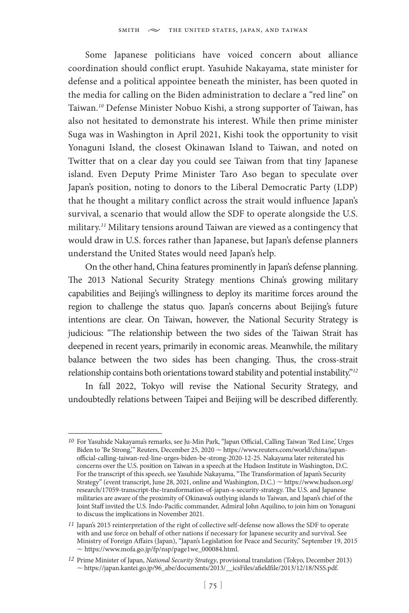Some Japanese politicians have voiced concern about alliance coordination should conflict erupt. Yasuhide Nakayama, state minister for defense and a political appointee beneath the minister, has been quoted in the media for calling on the Biden administration to declare a "red line" on Taiwan.*<sup>10</sup>* Defense Minister Nobuo Kishi, a strong supporter of Taiwan, has also not hesitated to demonstrate his interest. While then prime minister Suga was in Washington in April 2021, Kishi took the opportunity to visit Yonaguni Island, the closest Okinawan Island to Taiwan, and noted on Twitter that on a clear day you could see Taiwan from that tiny Japanese island. Even Deputy Prime Minister Taro Aso began to speculate over Japan's position, noting to donors to the Liberal Democratic Party (LDP) that he thought a military conflict across the strait would influence Japan's survival, a scenario that would allow the SDF to operate alongside the U.S. military.*<sup>11</sup>* Military tensions around Taiwan are viewed as a contingency that would draw in U.S. forces rather than Japanese, but Japan's defense planners understand the United States would need Japan's help.

On the other hand, China features prominently in Japan's defense planning. The 2013 National Security Strategy mentions China's growing military capabilities and Beijing's willingness to deploy its maritime forces around the region to challenge the status quo. Japan's concerns about Beijing's future intentions are clear. On Taiwan, however, the National Security Strategy is judicious: "The relationship between the two sides of the Taiwan Strait has deepened in recent years, primarily in economic areas. Meanwhile, the military balance between the two sides has been changing. Thus, the cross-strait relationship contains both orientations toward stability and potential instability."*<sup>12</sup>*

In fall 2022, Tokyo will revise the National Security Strategy, and undoubtedly relations between Taipei and Beijing will be described differently.

*<sup>10</sup>* For Yasuhide Nakayama's remarks, see Ju-Min Park, "Japan Official, Calling Taiwan 'Red Line,' Urges Biden to 'Be Strong,'" Reuters, December 25, 2020  $\sim$  https://www.reuters.com/world/china/japanofficial-calling-taiwan-red-line-urges-biden-be-strong-2020-12-25. Nakayama later reiterated his concerns over the U.S. position on Taiwan in a speech at the Hudson Institute in Washington, D.C. For the transcript of this speech, see Yasuhide Nakayama, "The Transformation of Japan's Security Strategy" (event transcript, June 28, 2021, online and Washington, D.C.)  $\sim$  https://www.hudson.org/ research/17059-transcript-the-transformation-of-japan-s-security-strategy. The U.S. and Japanese militaries are aware of the proximity of Okinawa's outlying islands to Taiwan, and Japan's chief of the Joint Staff invited the U.S. Indo-Pacific commander, Admiral John Aquilino, to join him on Yonaguni to discuss the implications in November 2021.

*<sup>11</sup>* Japan's 2015 reinterpretation of the right of collective self-defense now allows the SDF to operate with and use force on behalf of other nations if necessary for Japanese security and survival. See Ministry of Foreign Affairs (Japan), "Japan's Legislation for Peace and Security," September 19, 2015  $\sim$  https://www.mofa.go.jp/fp/nsp/page1we\_000084.html.

*<sup>12</sup>* Prime Minister of Japan, *National Security Strategy*, provisional translation (Tokyo, December 2013)  $\sim$  https://japan.kantei.go.jp/96\_abe/documents/2013/\_\_icsFiles/afieldfile/2013/12/18/NSS.pdf.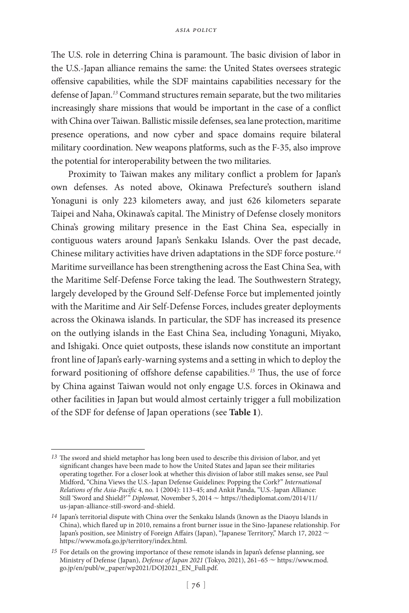The U.S. role in deterring China is paramount. The basic division of labor in the U.S.-Japan alliance remains the same: the United States oversees strategic offensive capabilities, while the SDF maintains capabilities necessary for the defense of Japan.*<sup>13</sup>* Command structures remain separate, but the two militaries increasingly share missions that would be important in the case of a conflict with China over Taiwan. Ballistic missile defenses, sea lane protection, maritime presence operations, and now cyber and space domains require bilateral military coordination. New weapons platforms, such as the F-35, also improve the potential for interoperability between the two militaries.

Proximity to Taiwan makes any military conflict a problem for Japan's own defenses. As noted above, Okinawa Prefecture's southern island Yonaguni is only 223 kilometers away, and just 626 kilometers separate Taipei and Naha, Okinawa's capital. The Ministry of Defense closely monitors China's growing military presence in the East China Sea, especially in contiguous waters around Japan's Senkaku Islands. Over the past decade, Chinese military activities have driven adaptations in the SDF force posture.*<sup>14</sup>* Maritime surveillance has been strengthening across the East China Sea, with the Maritime Self-Defense Force taking the lead. The Southwestern Strategy, largely developed by the Ground Self-Defense Force but implemented jointly with the Maritime and Air Self-Defense Forces, includes greater deployments across the Okinawa islands. In particular, the SDF has increased its presence on the outlying islands in the East China Sea, including Yonaguni, Miyako, and Ishigaki. Once quiet outposts, these islands now constitute an important front line of Japan's early-warning systems and a setting in which to deploy the forward positioning of offshore defense capabilities.*<sup>15</sup>* Thus, the use of force by China against Taiwan would not only engage U.S. forces in Okinawa and other facilities in Japan but would almost certainly trigger a full mobilization of the SDF for defense of Japan operations (see **Table 1**).

*<sup>13</sup>* The sword and shield metaphor has long been used to describe this division of labor, and yet significant changes have been made to how the United States and Japan see their militaries operating together. For a closer look at whether this division of labor still makes sense, see Paul Midford, "China Views the U.S.-Japan Defense Guidelines: Popping the Cork?" *International Relations of the Asia-Pacific* 4, no. 1 (2004): 113–45; and Ankit Panda, "U.S.-Japan Alliance: Still 'Sword and Shield?'" *Diplomat*, November 5, 2014 ~ https://thediplomat.com/2014/11/ us-japan-alliance-still-sword-and-shield.

*<sup>14</sup>* Japan's territorial dispute with China over the Senkaku Islands (known as the Diaoyu Islands in China), which flared up in 2010, remains a front burner issue in the Sino-Japanese relationship. For Japan's position, see Ministry of Foreign Affairs (Japan), "Japanese Territory," March 17, 2022 ~ https://www.mofa.go.jp/territory/index.html.

*<sup>15</sup>* For details on the growing importance of these remote islands in Japan's defense planning, see Ministry of Defense (Japan), *Defense of Japan 2021* (Tokyo, 2021), 261-65  $\sim$  https://www.mod. go.jp/en/publ/w\_paper/wp2021/DOJ2021\_EN\_Full.pdf.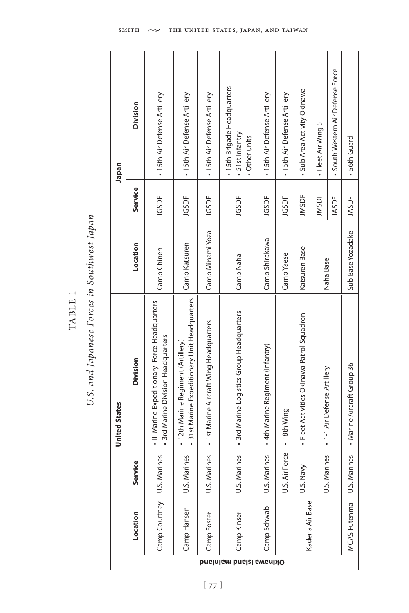| - |
|---|
| щ |
| ⊨ |
| ≃ |
|   |
|   |

# U.S. and Japanese Forces in Southwest Japan *U.S. and Japanese Forces in Southwest Japan*

| Japan                | Division<br>Service<br>Location | · 15th Air Defense Artillery<br>JGSDF<br>Camp Chinen                                | · 15th Air Defense Artillery<br>JGSDF<br>Camp Katsuren                              | • 15th Air Defense Artillery<br>JGSDF<br>Camp Minami Yoza | . 15th Brigade Headquarters<br>• 51st Infantry<br>• Other units<br>JGSDF<br>Camp Naha | - 15th Air Defense Artillery<br>JGSDF<br>Camp Shirakawa | - 15th Air Defense Artillery<br>JGSDF<br>Camp Yaese | • Sub Area Activity Okinawa<br><b>JMSDF</b><br>Katsuren Base | - Fleet Air Wing 5<br><b>JMSDF</b><br>Naha Base | · South Western Air Defense Force<br><b>JASDF</b> | . 56th Guard<br>JASDF<br>Sub Base Yozadake |
|----------------------|---------------------------------|-------------------------------------------------------------------------------------|-------------------------------------------------------------------------------------|-----------------------------------------------------------|---------------------------------------------------------------------------------------|---------------------------------------------------------|-----------------------------------------------------|--------------------------------------------------------------|-------------------------------------------------|---------------------------------------------------|--------------------------------------------|
| <b>United States</b> | Division                        | • III Marine Expeditionary Force Headquarters<br>· 3rd Marine Division Headquarters | • 31st Marine Expeditionary Unit Headquarters<br>• 12th Marine Regiment (Artillery) | · 1st Marine Aircraft Wing Headquarters                   | - 3rd Marine Logistics Group Headquarters                                             | + 4th Marine Regiment (Infantry)                        |                                                     | - Fleet Activities Okinawa Patrol Squadron                   | · 1-1 Air Defense Artillery                     |                                                   | - Marine Aircraft Group 36                 |
|                      | vice<br>Serv                    | U.S. Marines                                                                        | U.S. Marines                                                                        | U.S. Marines                                              | U.S. Marines                                                                          | U.S. Marines                                            | U.S. Air Force   • 18th Wing                        | U.S. Navy                                                    | U.S. Marines                                    |                                                   | U.S. Marines                               |
|                      | Location                        | Camp Courtney                                                                       | Camp Hansen                                                                         | Camp Foster                                               | Camp Kinser                                                                           | Camp Schwab                                             |                                                     | Kadena Air Base                                              |                                                 |                                                   | MCAS Futenma                               |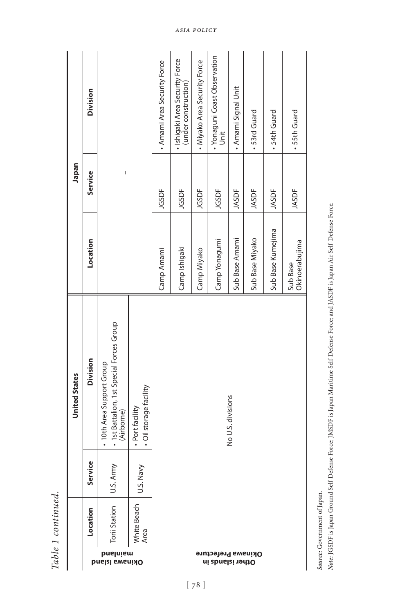|                                               |                     |               | <b>United States</b>                                                                 |                            | Japan        |                                                        |
|-----------------------------------------------|---------------------|---------------|--------------------------------------------------------------------------------------|----------------------------|--------------|--------------------------------------------------------|
|                                               | Location            | ce.<br>Ser    | <b>Division</b>                                                                      | Location                   | Service      | Division                                               |
| puejujew<br><b>Dinamalship</b>                | Torii Station       | È<br>U.S. Arı | · 1st Battalion, 1st Special Forces Group<br>. 10th Area Support Group<br>(Airborne) |                            | I            |                                                        |
|                                               | White Beach<br>Area | U.S. Navy     | · Oil storage facility<br>· Port facility                                            |                            |              |                                                        |
|                                               |                     |               |                                                                                      | Camp Amami                 | JGSDF        | . Amami Area Security Force                            |
|                                               |                     |               |                                                                                      | Camp Ishigaki              | JGSDF        | · Ishigaki Area Security Force<br>(under construction) |
|                                               |                     |               |                                                                                      | Camp Miyako                | JGSDF        | . Miyako Area Security Force                           |
| <b>Okinawa Prefecture</b><br>Other islands in |                     |               |                                                                                      | Camp Yonagumi              | JGSDF        | • Yonaguni Coast Observation<br>Unit                   |
|                                               |                     |               | No U.S. divisions                                                                    | Sub Base Amami             | <b>JASDF</b> | . Amami Signal Unit                                    |
|                                               |                     |               |                                                                                      | Sub Base Miyako            | JASDF        | . 53rd Guard                                           |
|                                               |                     |               |                                                                                      | Sub Base Kumejima          | JASDF        | · 54th Guard                                           |
|                                               |                     |               |                                                                                      | Okinoerabujima<br>Sub Base | JASDF        | . 55th Guard                                           |
|                                               |                     |               |                                                                                      |                            |              |                                                        |

Table 1 continued. *Table 1 continued.*

Source: Government of Japan. *Source:* Government of Japan.

Note: JGSDF is Japan Ground Self-Defense Force; JMSDF is Japan Maritime Self-Defense Force; and JASDF is Japan Air Self-Defense Force. *Note:* JGSDF is Japan Ground Self-Defense Force; JMSDF is Japan Maritime Self-Defense Force; and JASDF is Japan Air Self-Defense Force.

 $[78]$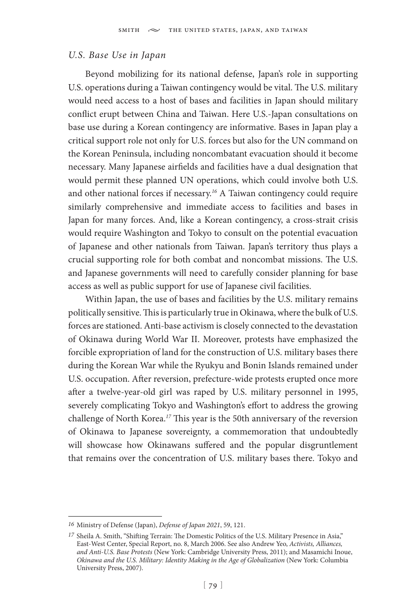### *U.S. Base Use in Japan*

Beyond mobilizing for its national defense, Japan's role in supporting U.S. operations during a Taiwan contingency would be vital. The U.S. military would need access to a host of bases and facilities in Japan should military conflict erupt between China and Taiwan. Here U.S.-Japan consultations on base use during a Korean contingency are informative. Bases in Japan play a critical support role not only for U.S. forces but also for the UN command on the Korean Peninsula, including noncombatant evacuation should it become necessary. Many Japanese airfields and facilities have a dual designation that would permit these planned UN operations, which could involve both U.S. and other national forces if necessary.*<sup>16</sup>* A Taiwan contingency could require similarly comprehensive and immediate access to facilities and bases in Japan for many forces. And, like a Korean contingency, a cross-strait crisis would require Washington and Tokyo to consult on the potential evacuation of Japanese and other nationals from Taiwan. Japan's territory thus plays a crucial supporting role for both combat and noncombat missions. The U.S. and Japanese governments will need to carefully consider planning for base access as well as public support for use of Japanese civil facilities.

Within Japan, the use of bases and facilities by the U.S. military remains politically sensitive. This is particularly true in Okinawa, where the bulk of U.S. forces are stationed. Anti-base activism is closely connected to the devastation of Okinawa during World War II. Moreover, protests have emphasized the forcible expropriation of land for the construction of U.S. military bases there during the Korean War while the Ryukyu and Bonin Islands remained under U.S. occupation. After reversion, prefecture-wide protests erupted once more after a twelve-year-old girl was raped by U.S. military personnel in 1995, severely complicating Tokyo and Washington's effort to address the growing challenge of North Korea.*<sup>17</sup>* This year is the 50th anniversary of the reversion of Okinawa to Japanese sovereignty, a commemoration that undoubtedly will showcase how Okinawans suffered and the popular disgruntlement that remains over the concentration of U.S. military bases there. Tokyo and

*<sup>16</sup>* Ministry of Defense (Japan), *Defense of Japan 2021*, 59, 121.

*<sup>17</sup>* Sheila A. Smith, "Shifting Terrain: The Domestic Politics of the U.S. Military Presence in Asia," East-West Center, Special Report, no. 8, March 2006. See also Andrew Yeo, *Activists, Alliances, and Anti-U.S. Base Protests* (New York: Cambridge University Press, 2011); and Masamichi Inoue, *Okinawa and the U.S. Military: Identity Making in the Age of Globalization* (New York: Columbia University Press, 2007).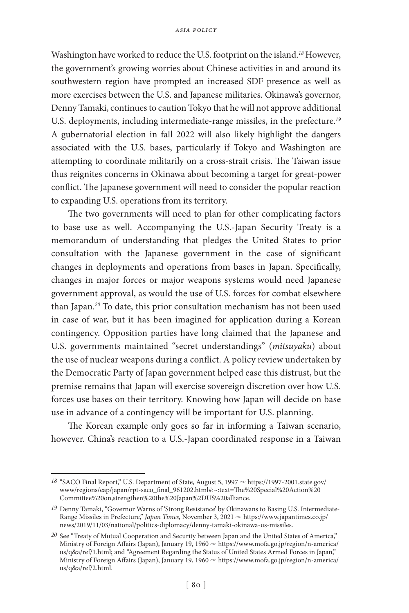Washington have worked to reduce the U.S. footprint on the island.*<sup>18</sup>* However, the government's growing worries about Chinese activities in and around its southwestern region have prompted an increased SDF presence as well as more exercises between the U.S. and Japanese militaries. Okinawa's governor, Denny Tamaki, continues to caution Tokyo that he will not approve additional U.S. deployments, including intermediate-range missiles, in the prefecture.*<sup>19</sup>* A gubernatorial election in fall 2022 will also likely highlight the dangers associated with the U.S. bases, particularly if Tokyo and Washington are attempting to coordinate militarily on a cross-strait crisis. The Taiwan issue thus reignites concerns in Okinawa about becoming a target for great-power conflict. The Japanese government will need to consider the popular reaction to expanding U.S. operations from its territory.

The two governments will need to plan for other complicating factors to base use as well. Accompanying the U.S.-Japan Security Treaty is a memorandum of understanding that pledges the United States to prior consultation with the Japanese government in the case of significant changes in deployments and operations from bases in Japan. Specifically, changes in major forces or major weapons systems would need Japanese government approval, as would the use of U.S. forces for combat elsewhere than Japan.*<sup>20</sup>* To date, this prior consultation mechanism has not been used in case of war, but it has been imagined for application during a Korean contingency. Opposition parties have long claimed that the Japanese and U.S. governments maintained "secret understandings" (*mitsuyaku*) about the use of nuclear weapons during a conflict. A policy review undertaken by the Democratic Party of Japan government helped ease this distrust, but the premise remains that Japan will exercise sovereign discretion over how U.S. forces use bases on their territory. Knowing how Japan will decide on base use in advance of a contingency will be important for U.S. planning.

The Korean example only goes so far in informing a Taiwan scenario, however. China's reaction to a U.S.-Japan coordinated response in a Taiwan

<sup>&</sup>lt;sup>18</sup> "SACO Final Report," U.S. Department of State, August 5, 1997  $\sim$  https://1997-2001.state.gov/ www/regions/eap/japan/rpt-saco\_final\_961202.html#:~:text=The%20Special%20Action%20 Committee%20on,strengthen%20the%20Japan%2DUS%20alliance.

<sup>&</sup>lt;sup>19</sup> Denny Tamaki, "Governor Warns of 'Strong Resistance' by Okinawans to Basing U.S. Intermediate-Range Missiles in Prefecture," *Japan Times*, November 3, 2021  $\sim$  https://www.japantimes.co.jp/ news/2019/11/03/national/politics-diplomacy/denny-tamaki-okinawa-us-missiles.

*<sup>20</sup>* See "Treaty of Mutual Cooperation and Security between Japan and the United States of America," Ministry of Foreign Affairs (Japan), January 19, 1960  $\sim$  https://www.mofa.go.jp/region/n-america/ us/q&a/ref/1.html; and "Agreement Regarding the Status of United States Armed Forces in Japan," Ministry of Foreign Affairs (Japan), January 19, 1960  $\sim$  https://www.mofa.go.jp/region/n-america/ us/q&a/ref/2.html.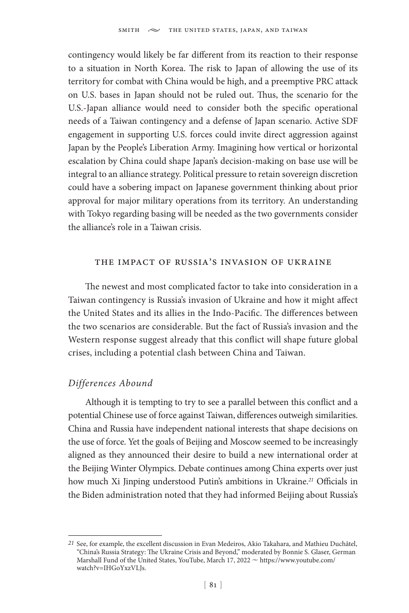contingency would likely be far different from its reaction to their response to a situation in North Korea. The risk to Japan of allowing the use of its territory for combat with China would be high, and a preemptive PRC attack on U.S. bases in Japan should not be ruled out. Thus, the scenario for the U.S.-Japan alliance would need to consider both the specific operational needs of a Taiwan contingency and a defense of Japan scenario. Active SDF engagement in supporting U.S. forces could invite direct aggression against Japan by the People's Liberation Army. Imagining how vertical or horizontal escalation by China could shape Japan's decision-making on base use will be integral to an alliance strategy. Political pressure to retain sovereign discretion could have a sobering impact on Japanese government thinking about prior approval for major military operations from its territory. An understanding with Tokyo regarding basing will be needed as the two governments consider the alliance's role in a Taiwan crisis.

### the impact of russia's invasion of ukraine

The newest and most complicated factor to take into consideration in a Taiwan contingency is Russia's invasion of Ukraine and how it might affect the United States and its allies in the Indo-Pacific. The differences between the two scenarios are considerable. But the fact of Russia's invasion and the Western response suggest already that this conflict will shape future global crises, including a potential clash between China and Taiwan.

### *Differences Abound*

Although it is tempting to try to see a parallel between this conflict and a potential Chinese use of force against Taiwan, differences outweigh similarities. China and Russia have independent national interests that shape decisions on the use of force. Yet the goals of Beijing and Moscow seemed to be increasingly aligned as they announced their desire to build a new international order at the Beijing Winter Olympics. Debate continues among China experts over just how much Xi Jinping understood Putin's ambitions in Ukraine.*<sup>21</sup>* Officials in the Biden administration noted that they had informed Beijing about Russia's

*<sup>21</sup>* See, for example, the excellent discussion in Evan Medeiros, Akio Takahara, and Mathieu Duchâtel, "China's Russia Strategy: The Ukraine Crisis and Beyond," moderated by Bonnie S. Glaser, German Marshall Fund of the United States, YouTube, March 17, 2022  $\sim$  https://www.youtube.com/ watch?v=IHGoYxzVLJs.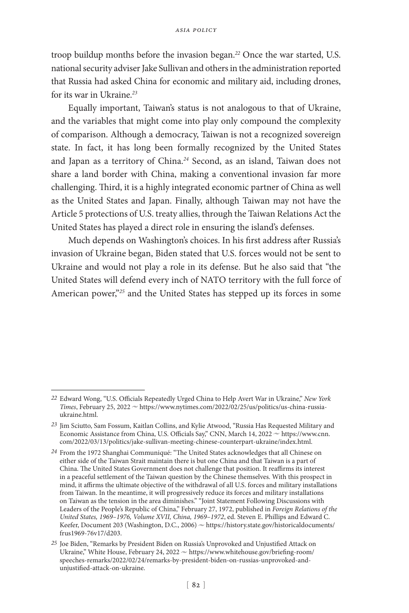troop buildup months before the invasion began.*<sup>22</sup>* Once the war started, U.S. national security adviser Jake Sullivan and others in the administration reported that Russia had asked China for economic and military aid, including drones, for its war in Ukraine.*<sup>23</sup>*

Equally important, Taiwan's status is not analogous to that of Ukraine, and the variables that might come into play only compound the complexity of comparison. Although a democracy, Taiwan is not a recognized sovereign state. In fact, it has long been formally recognized by the United States and Japan as a territory of China.*<sup>24</sup>* Second, as an island, Taiwan does not share a land border with China, making a conventional invasion far more challenging. Third, it is a highly integrated economic partner of China as well as the United States and Japan. Finally, although Taiwan may not have the Article 5 protections of U.S. treaty allies, through the Taiwan Relations Act the United States has played a direct role in ensuring the island's defenses.

Much depends on Washington's choices. In his first address after Russia's invasion of Ukraine began, Biden stated that U.S. forces would not be sent to Ukraine and would not play a role in its defense. But he also said that "the United States will defend every inch of NATO territory with the full force of American power,"*<sup>25</sup>* and the United States has stepped up its forces in some

*<sup>22</sup>* Edward Wong, "U.S. Officials Repeatedly Urged China to Help Avert War in Ukraine," *New York Times*, February 25, 2022  $\sim$  https://www.nytimes.com/2022/02/25/us/politics/us-china-russiaukraine.html.

*<sup>23</sup>* Jim Sciutto, Sam Fossum, Kaitlan Collins, and Kylie Atwood, "Russia Has Requested Military and Economic Assistance from China, U.S. Officials Say," CNN, March 14, 2022 ~ https://www.cnn. com/2022/03/13/politics/jake-sullivan-meeting-chinese-counterpart-ukraine/index.html.

*<sup>24</sup>* From the 1972 Shanghai Communiqué: "The United States acknowledges that all Chinese on either side of the Taiwan Strait maintain there is but one China and that Taiwan is a part of China. The United States Government does not challenge that position. It reaffirms its interest in a peaceful settlement of the Taiwan question by the Chinese themselves. With this prospect in mind, it affirms the ultimate objective of the withdrawal of all U.S. forces and military installations from Taiwan. In the meantime, it will progressively reduce its forces and military installations on Taiwan as the tension in the area diminishes." "Joint Statement Following Discussions with Leaders of the People's Republic of China," February 27, 1972, published in *Foreign Relations of the United States, 1969–1976, Volume XVII, China, 1969–1972*, ed. Steven E. Phillips and Edward C. Keefer, Document 203 (Washington, D.C., 2006)  $\sim$  https://history.state.gov/historicaldocuments/ frus1969-76v17/d203.

*<sup>25</sup>* Joe Biden, "Remarks by President Biden on Russia's Unprovoked and Unjustified Attack on Ukraine," White House, February 24, 2022  $\sim$  https://www.whitehouse.gov/briefing-room/ speeches-remarks/2022/02/24/remarks-by-president-biden-on-russias-unprovoked-andunjustified-attack-on-ukraine.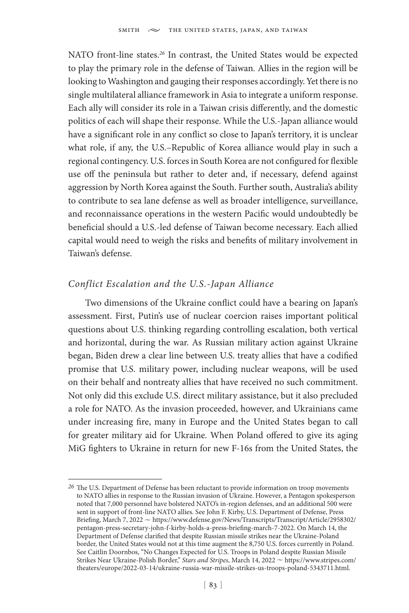NATO front-line states.*<sup>26</sup>* In contrast, the United States would be expected to play the primary role in the defense of Taiwan. Allies in the region will be looking to Washington and gauging their responses accordingly. Yet there is no single multilateral alliance framework in Asia to integrate a uniform response. Each ally will consider its role in a Taiwan crisis differently, and the domestic politics of each will shape their response. While the U.S.-Japan alliance would have a significant role in any conflict so close to Japan's territory, it is unclear what role, if any, the U.S.–Republic of Korea alliance would play in such a regional contingency. U.S. forces in South Korea are not configured for flexible use off the peninsula but rather to deter and, if necessary, defend against aggression by North Korea against the South. Further south, Australia's ability to contribute to sea lane defense as well as broader intelligence, surveillance, and reconnaissance operations in the western Pacific would undoubtedly be beneficial should a U.S.-led defense of Taiwan become necessary. Each allied capital would need to weigh the risks and benefits of military involvement in Taiwan's defense.

### *Conflict Escalation and the U.S.-Japan Alliance*

Two dimensions of the Ukraine conflict could have a bearing on Japan's assessment. First, Putin's use of nuclear coercion raises important political questions about U.S. thinking regarding controlling escalation, both vertical and horizontal, during the war. As Russian military action against Ukraine began, Biden drew a clear line between U.S. treaty allies that have a codified promise that U.S. military power, including nuclear weapons, will be used on their behalf and nontreaty allies that have received no such commitment. Not only did this exclude U.S. direct military assistance, but it also precluded a role for NATO. As the invasion proceeded, however, and Ukrainians came under increasing fire, many in Europe and the United States began to call for greater military aid for Ukraine. When Poland offered to give its aging MiG fighters to Ukraine in return for new F-16s from the United States, the

*<sup>26</sup>* The U.S. Department of Defense has been reluctant to provide information on troop movements to NATO allies in response to the Russian invasion of Ukraine. However, a Pentagon spokesperson noted that 7,000 personnel have bolstered NATO's in-region defenses, and an additional 500 were sent in support of front-line NATO allies. See John F. Kirby, U.S. Department of Defense, Press Briefing, March 7, 2022 ~ https://www.defense.gov/News/Transcripts/Transcript/Article/2958302/ pentagon-press-secretary-john-f-kirby-holds-a-press-briefing-march-7-2022. On March 14, the Department of Defense clarified that despite Russian missile strikes near the Ukraine-Poland border, the United States would not at this time augment the 8,750 U.S. forces currently in Poland. See Caitlin Doornbos, "No Changes Expected for U.S. Troops in Poland despite Russian Missile Strikes Near Ukraine-Polish Border," Stars and Stripes, March 14, 2022  $\sim$  https://www.stripes.com/ theaters/europe/2022-03-14/ukraine-russia-war-missile-strikes-us-troops-poland-5343711.html.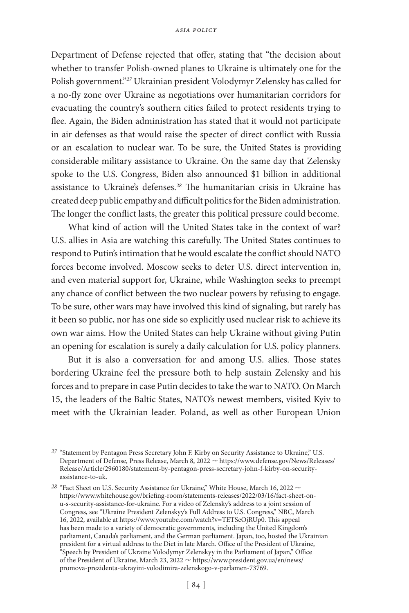Department of Defense rejected that offer, stating that "the decision about whether to transfer Polish-owned planes to Ukraine is ultimately one for the Polish government."*<sup>27</sup>* Ukrainian president Volodymyr Zelensky has called for a no-fly zone over Ukraine as negotiations over humanitarian corridors for evacuating the country's southern cities failed to protect residents trying to flee. Again, the Biden administration has stated that it would not participate in air defenses as that would raise the specter of direct conflict with Russia or an escalation to nuclear war. To be sure, the United States is providing considerable military assistance to Ukraine. On the same day that Zelensky spoke to the U.S. Congress, Biden also announced \$1 billion in additional assistance to Ukraine's defenses.*<sup>28</sup>* The humanitarian crisis in Ukraine has created deep public empathy and difficult politics for the Biden administration. The longer the conflict lasts, the greater this political pressure could become.

What kind of action will the United States take in the context of war? U.S. allies in Asia are watching this carefully. The United States continues to respond to Putin's intimation that he would escalate the conflict should NATO forces become involved. Moscow seeks to deter U.S. direct intervention in, and even material support for, Ukraine, while Washington seeks to preempt any chance of conflict between the two nuclear powers by refusing to engage. To be sure, other wars may have involved this kind of signaling, but rarely has it been so public, nor has one side so explicitly used nuclear risk to achieve its own war aims. How the United States can help Ukraine without giving Putin an opening for escalation is surely a daily calculation for U.S. policy planners.

But it is also a conversation for and among U.S. allies. Those states bordering Ukraine feel the pressure both to help sustain Zelensky and his forces and to prepare in case Putin decides to take the war to NATO. On March 15, the leaders of the Baltic States, NATO's newest members, visited Kyiv to meet with the Ukrainian leader. Poland, as well as other European Union

*<sup>27</sup>* "Statement by Pentagon Press Secretary John F. Kirby on Security Assistance to Ukraine," U.S. Department of Defense, Press Release, March 8, 2022 ~ https://www.defense.gov/News/Releases/ Release/Article/2960180/statement-by-pentagon-press-secretary-john-f-kirby-on-securityassistance-to-uk.

<sup>&</sup>lt;sup>28</sup> "Fact Sheet on U.S. Security Assistance for Ukraine," White House, March 16, 2022  $\sim$ https://www.whitehouse.gov/briefing-room/statements-releases/2022/03/16/fact-sheet-onu-s-security-assistance-for-ukraine. For a video of Zelensky's address to a joint session of Congress, see "Ukraine President Zelenskyy's Full Address to U.S. Congress," NBC, March 16, 2022, available at https://www.youtube.com/watch?v=TETSeOjRUp0. This appeal has been made to a variety of democratic governments, including the United Kingdom's parliament, Canada's parliament, and the German parliament. Japan, too, hosted the Ukrainian president for a virtual address to the Diet in late March. Office of the President of Ukraine, "Speech by President of Ukraine Volodymyr Zelenskyy in the Parliament of Japan," Office of the President of Ukraine, March 23, 2022  $\sim$  https://www.president.gov.ua/en/news/ promova-prezidenta-ukrayini-volodimira-zelenskogo-v-parlamen-73769.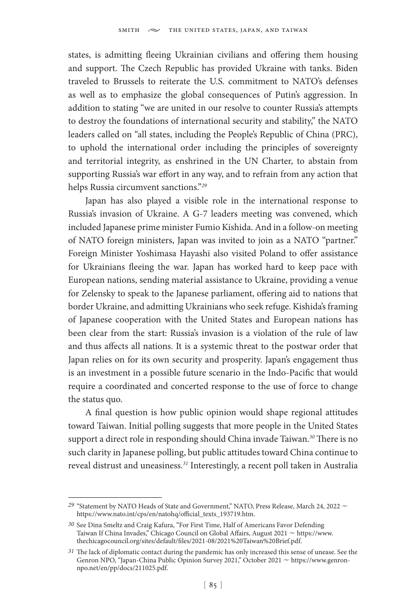states, is admitting fleeing Ukrainian civilians and offering them housing and support. The Czech Republic has provided Ukraine with tanks. Biden traveled to Brussels to reiterate the U.S. commitment to NATO's defenses as well as to emphasize the global consequences of Putin's aggression. In addition to stating "we are united in our resolve to counter Russia's attempts to destroy the foundations of international security and stability," the NATO leaders called on "all states, including the People's Republic of China (PRC), to uphold the international order including the principles of sovereignty and territorial integrity, as enshrined in the UN Charter, to abstain from supporting Russia's war effort in any way, and to refrain from any action that helps Russia circumvent sanctions."*<sup>29</sup>*

Japan has also played a visible role in the international response to Russia's invasion of Ukraine. A G-7 leaders meeting was convened, which included Japanese prime minister Fumio Kishida. And in a follow-on meeting of NATO foreign ministers, Japan was invited to join as a NATO "partner." Foreign Minister Yoshimasa Hayashi also visited Poland to offer assistance for Ukrainians fleeing the war. Japan has worked hard to keep pace with European nations, sending material assistance to Ukraine, providing a venue for Zelensky to speak to the Japanese parliament, offering aid to nations that border Ukraine, and admitting Ukrainians who seek refuge. Kishida's framing of Japanese cooperation with the United States and European nations has been clear from the start: Russia's invasion is a violation of the rule of law and thus affects all nations. It is a systemic threat to the postwar order that Japan relies on for its own security and prosperity. Japan's engagement thus is an investment in a possible future scenario in the Indo-Pacific that would require a coordinated and concerted response to the use of force to change the status quo.

A final question is how public opinion would shape regional attitudes toward Taiwan. Initial polling suggests that more people in the United States support a direct role in responding should China invade Taiwan.*<sup>30</sup>* There is no such clarity in Japanese polling, but public attitudes toward China continue to reveal distrust and uneasiness.*<sup>31</sup>* Interestingly, a recent poll taken in Australia

<sup>&</sup>lt;sup>29</sup> "Statement by NATO Heads of State and Government," NATO, Press Release, March 24, 2022  $\sim$ https://www.nato.int/cps/en/natohq/official\_texts\_193719.htm.

*<sup>30</sup>* See Dina Smeltz and Craig Kafura, "For First Time, Half of Americans Favor Defending Taiwan If China Invades," Chicago Council on Global Affairs, August  $2021 \approx$  https://www. thechicagocouncil.org/sites/default/files/2021-08/2021%20Taiwan%20Brief.pdf.

*<sup>31</sup>* The lack of diplomatic contact during the pandemic has only increased this sense of unease. See the Genron NPO, "Japan-China Public Opinion Survey 2021," October 2021  $\sim$  https://www.genronnpo.net/en/pp/docs/211025.pdf.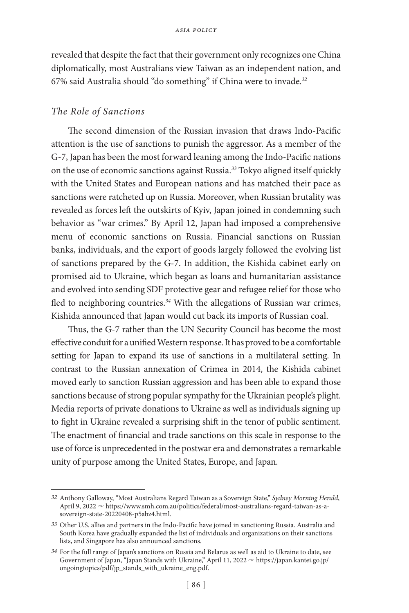revealed that despite the fact that their government only recognizes one China diplomatically, most Australians view Taiwan as an independent nation, and 67% said Australia should "do something" if China were to invade.*<sup>32</sup>*

### *The Role of Sanctions*

The second dimension of the Russian invasion that draws Indo-Pacific attention is the use of sanctions to punish the aggressor. As a member of the G-7, Japan has been the most forward leaning among the Indo-Pacific nations on the use of economic sanctions against Russia.*<sup>33</sup>* Tokyo aligned itself quickly with the United States and European nations and has matched their pace as sanctions were ratcheted up on Russia. Moreover, when Russian brutality was revealed as forces left the outskirts of Kyiv, Japan joined in condemning such behavior as "war crimes." By April 12, Japan had imposed a comprehensive menu of economic sanctions on Russia. Financial sanctions on Russian banks, individuals, and the export of goods largely followed the evolving list of sanctions prepared by the G-7. In addition, the Kishida cabinet early on promised aid to Ukraine, which began as loans and humanitarian assistance and evolved into sending SDF protective gear and refugee relief for those who fled to neighboring countries.*<sup>34</sup>* With the allegations of Russian war crimes, Kishida announced that Japan would cut back its imports of Russian coal.

Thus, the G-7 rather than the UN Security Council has become the most effective conduit for a unified Western response. It has proved to be a comfortable setting for Japan to expand its use of sanctions in a multilateral setting. In contrast to the Russian annexation of Crimea in 2014, the Kishida cabinet moved early to sanction Russian aggression and has been able to expand those sanctions because of strong popular sympathy for the Ukrainian people's plight. Media reports of private donations to Ukraine as well as individuals signing up to fight in Ukraine revealed a surprising shift in the tenor of public sentiment. The enactment of financial and trade sanctions on this scale in response to the use of force is unprecedented in the postwar era and demonstrates a remarkable unity of purpose among the United States, Europe, and Japan.

*<sup>32</sup>* Anthony Galloway, "Most Australians Regard Taiwan as a Sovereign State," *Sydney Morning Herald*, April 9, 2022 ~ https://www.smh.com.au/politics/federal/most-australians-regard-taiwan-as-asovereign-state-20220408-p5abz4.html.

*<sup>33</sup>* Other U.S. allies and partners in the Indo-Pacific have joined in sanctioning Russia. Australia and South Korea have gradually expanded the list of individuals and organizations on their sanctions lists, and Singapore has also announced sanctions.

*<sup>34</sup>* For the full range of Japan's sanctions on Russia and Belarus as well as aid to Ukraine to date, see Government of Japan, "Japan Stands with Ukraine," April 11, 2022  $\sim$  https://japan.kantei.go.jp/ ongoingtopics/pdf/jp\_stands\_with\_ukraine\_eng.pdf.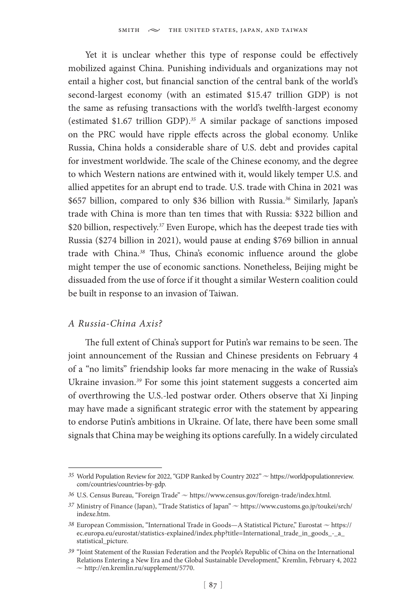Yet it is unclear whether this type of response could be effectively mobilized against China. Punishing individuals and organizations may not entail a higher cost, but financial sanction of the central bank of the world's second-largest economy (with an estimated \$15.47 trillion GDP) is not the same as refusing transactions with the world's twelfth-largest economy (estimated \$1.67 trillion GDP).*<sup>35</sup>* A similar package of sanctions imposed on the PRC would have ripple effects across the global economy. Unlike Russia, China holds a considerable share of U.S. debt and provides capital for investment worldwide. The scale of the Chinese economy, and the degree to which Western nations are entwined with it, would likely temper U.S. and allied appetites for an abrupt end to trade. U.S. trade with China in 2021 was \$657 billion, compared to only \$36 billion with Russia.*<sup>36</sup>* Similarly, Japan's trade with China is more than ten times that with Russia: \$322 billion and \$20 billion, respectively.*<sup>37</sup>* Even Europe, which has the deepest trade ties with Russia (\$274 billion in 2021), would pause at ending \$769 billion in annual trade with China.*<sup>38</sup>* Thus, China's economic influence around the globe might temper the use of economic sanctions. Nonetheless, Beijing might be dissuaded from the use of force if it thought a similar Western coalition could be built in response to an invasion of Taiwan.

### *A Russia-China Axis?*

The full extent of China's support for Putin's war remains to be seen. The joint announcement of the Russian and Chinese presidents on February 4 of a "no limits" friendship looks far more menacing in the wake of Russia's Ukraine invasion.*<sup>39</sup>* For some this joint statement suggests a concerted aim of overthrowing the U.S.-led postwar order. Others observe that Xi Jinping may have made a significant strategic error with the statement by appearing to endorse Putin's ambitions in Ukraine. Of late, there have been some small signals that China may be weighing its options carefully. In a widely circulated

<sup>35</sup> World Population Review for 2022, "GDP Ranked by Country 2022"  $\sim$  https://worldpopulationreview. com/countries/countries-by-gdp.

<sup>36</sup> U.S. Census Bureau, "Foreign Trade"  $\sim$  https://www.census.gov/foreign-trade/index.html.

<sup>&</sup>lt;sup>37</sup> Ministry of Finance (Japan), "Trade Statistics of Japan" ~ https://www.customs.go.jp/toukei/srch/ indexe.htm.

<sup>38</sup> European Commission, "International Trade in Goods—A Statistical Picture," Eurostat ~ https:// ec.europa.eu/eurostat/statistics-explained/index.php?title=International\_trade\_in\_goods\_-\_a\_ statistical\_picture.

*<sup>39</sup>* "Joint Statement of the Russian Federation and the People's Republic of China on the International Relations Entering a New Era and the Global Sustainable Development," Kremlin, February 4, 2022  $\sim$  http://en.kremlin.ru/supplement/5770.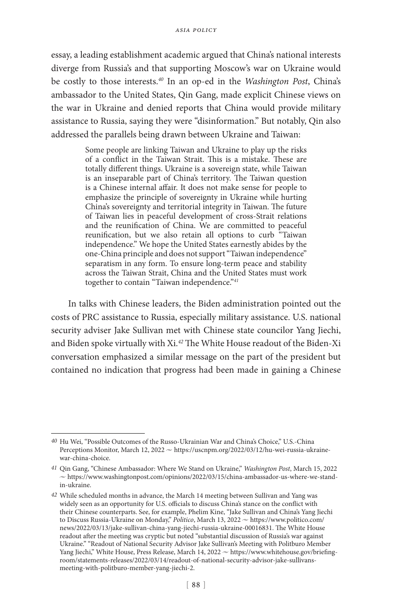essay, a leading establishment academic argued that China's national interests diverge from Russia's and that supporting Moscow's war on Ukraine would be costly to those interests.*<sup>40</sup>* In an op-ed in the *Washington Post*, China's ambassador to the United States, Qin Gang, made explicit Chinese views on the war in Ukraine and denied reports that China would provide military assistance to Russia, saying they were "disinformation." But notably, Qin also addressed the parallels being drawn between Ukraine and Taiwan:

> Some people are linking Taiwan and Ukraine to play up the risks of a conflict in the Taiwan Strait. This is a mistake. These are totally different things. Ukraine is a sovereign state, while Taiwan is an inseparable part of China's territory. The Taiwan question is a Chinese internal affair. It does not make sense for people to emphasize the principle of sovereignty in Ukraine while hurting China's sovereignty and territorial integrity in Taiwan. The future of Taiwan lies in peaceful development of cross-Strait relations and the reunification of China. We are committed to peaceful reunification, but we also retain all options to curb "Taiwan independence." We hope the United States earnestly abides by the one-China principle and does not support "Taiwan independence" separatism in any form. To ensure long-term peace and stability across the Taiwan Strait, China and the United States must work together to contain "Taiwan independence."*<sup>41</sup>*

In talks with Chinese leaders, the Biden administration pointed out the costs of PRC assistance to Russia, especially military assistance. U.S. national security adviser Jake Sullivan met with Chinese state councilor Yang Jiechi, and Biden spoke virtually with Xi.*<sup>42</sup>* The White House readout of the Biden-Xi conversation emphasized a similar message on the part of the president but contained no indication that progress had been made in gaining a Chinese

*<sup>40</sup>* Hu Wei, "Possible Outcomes of the Russo-Ukrainian War and China's Choice," U.S.-China Perceptions Monitor, March 12, 2022  $\sim$  https://uscnpm.org/2022/03/12/hu-wei-russia-ukrainewar-china-choice.

*<sup>41</sup>* Qin Gang, "Chinese Ambassador: Where We Stand on Ukraine," *Washington Post*, March 15, 2022  $\sim$  https://www.washingtonpost.com/opinions/2022/03/15/china-ambassador-us-where-we-standin-ukraine.

*<sup>42</sup>* While scheduled months in advance, the March 14 meeting between Sullivan and Yang was widely seen as an opportunity for U.S. officials to discuss China's stance on the conflict with their Chinese counterparts. See, for example, Phelim Kine, "Jake Sullivan and China's Yang Jiechi to Discuss Russia-Ukraine on Monday," *Politico*, March 13, 2022  $\sim$  https://www.politico.com/ news/2022/03/13/jake-sullivan-china-yang-jiechi-russia-ukraine-00016831. The White House readout after the meeting was cryptic but noted "substantial discussion of Russia's war against Ukraine." "Readout of National Security Advisor Jake Sullivan's Meeting with Politburo Member Yang Jiechi," White House, Press Release, March 14, 2022  $\sim$  https://www.whitehouse.gov/briefingroom/statements-releases/2022/03/14/readout-of-national-security-advisor-jake-sullivansmeeting-with-politburo-member-yang-jiechi-2.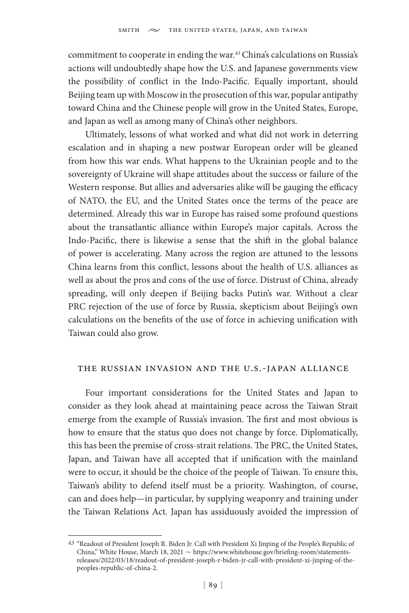commitment to cooperate in ending the war.*<sup>43</sup>* China's calculations on Russia's actions will undoubtedly shape how the U.S. and Japanese governments view the possibility of conflict in the Indo-Pacific. Equally important, should Beijing team up with Moscow in the prosecution of this war, popular antipathy toward China and the Chinese people will grow in the United States, Europe, and Japan as well as among many of China's other neighbors.

Ultimately, lessons of what worked and what did not work in deterring escalation and in shaping a new postwar European order will be gleaned from how this war ends. What happens to the Ukrainian people and to the sovereignty of Ukraine will shape attitudes about the success or failure of the Western response. But allies and adversaries alike will be gauging the efficacy of NATO, the EU, and the United States once the terms of the peace are determined. Already this war in Europe has raised some profound questions about the transatlantic alliance within Europe's major capitals. Across the Indo-Pacific, there is likewise a sense that the shift in the global balance of power is accelerating. Many across the region are attuned to the lessons China learns from this conflict, lessons about the health of U.S. alliances as well as about the pros and cons of the use of force. Distrust of China, already spreading, will only deepen if Beijing backs Putin's war. Without a clear PRC rejection of the use of force by Russia, skepticism about Beijing's own calculations on the benefits of the use of force in achieving unification with Taiwan could also grow.

### the russian invasion and the u.s.-japan alliance

Four important considerations for the United States and Japan to consider as they look ahead at maintaining peace across the Taiwan Strait emerge from the example of Russia's invasion. The first and most obvious is how to ensure that the status quo does not change by force. Diplomatically, this has been the premise of cross-strait relations. The PRC, the United States, Japan, and Taiwan have all accepted that if unification with the mainland were to occur, it should be the choice of the people of Taiwan. To ensure this, Taiwan's ability to defend itself must be a priority. Washington, of course, can and does help—in particular, by supplying weaponry and training under the Taiwan Relations Act. Japan has assiduously avoided the impression of

*<sup>43</sup>* "Readout of President Joseph R. Biden Jr. Call with President Xi Jinping of the People's Republic of China," White House, March 18, 2021  $\sim$  https://www.whitehouse.gov/briefing-room/statementsreleases/2022/03/18/readout-of-president-joseph-r-biden-jr-call-with-president-xi-jinping-of-thepeoples-republic-of-china-2.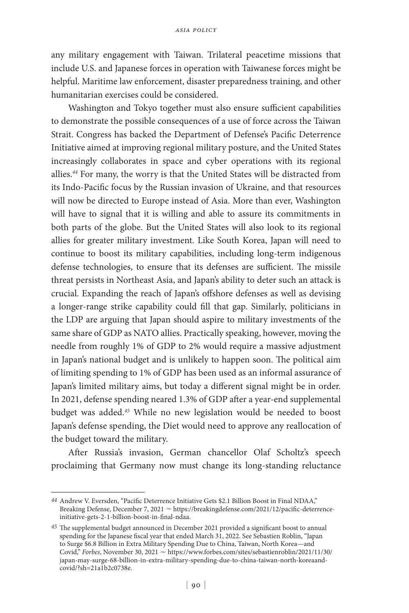any military engagement with Taiwan. Trilateral peacetime missions that include U.S. and Japanese forces in operation with Taiwanese forces might be helpful. Maritime law enforcement, disaster preparedness training, and other humanitarian exercises could be considered.

Washington and Tokyo together must also ensure sufficient capabilities to demonstrate the possible consequences of a use of force across the Taiwan Strait. Congress has backed the Department of Defense's Pacific Deterrence Initiative aimed at improving regional military posture, and the United States increasingly collaborates in space and cyber operations with its regional allies.*<sup>44</sup>* For many, the worry is that the United States will be distracted from its Indo-Pacific focus by the Russian invasion of Ukraine, and that resources will now be directed to Europe instead of Asia. More than ever, Washington will have to signal that it is willing and able to assure its commitments in both parts of the globe. But the United States will also look to its regional allies for greater military investment. Like South Korea, Japan will need to continue to boost its military capabilities, including long-term indigenous defense technologies, to ensure that its defenses are sufficient. The missile threat persists in Northeast Asia, and Japan's ability to deter such an attack is crucial. Expanding the reach of Japan's offshore defenses as well as devising a longer-range strike capability could fill that gap. Similarly, politicians in the LDP are arguing that Japan should aspire to military investments of the same share of GDP as NATO allies. Practically speaking, however, moving the needle from roughly 1% of GDP to 2% would require a massive adjustment in Japan's national budget and is unlikely to happen soon. The political aim of limiting spending to 1% of GDP has been used as an informal assurance of Japan's limited military aims, but today a different signal might be in order. In 2021, defense spending neared 1.3% of GDP after a year-end supplemental budget was added.*<sup>45</sup>* While no new legislation would be needed to boost Japan's defense spending, the Diet would need to approve any reallocation of the budget toward the military.

After Russia's invasion, German chancellor Olaf Scholtz's speech proclaiming that Germany now must change its long-standing reluctance

*<sup>44</sup>* Andrew V. Eversden, "Pacific Deterrence Initiative Gets \$2.1 Billion Boost in Final NDAA," Breaking Defense, December 7, 2021  $\sim$  https://breakingdefense.com/2021/12/pacific-deterrenceinitiative-gets-2-1-billion-boost-in-final-ndaa.

*<sup>45</sup>* The supplemental budget announced in December 2021 provided a significant boost to annual spending for the Japanese fiscal year that ended March 31, 2022. See Sebastien Roblin, "Japan to Surge \$6.8 Billion in Extra Military Spending Due to China, Taiwan, North Korea—and Covid," Forbes, November 30, 2021  $\sim$  https://www.forbes.com/sites/sebastienroblin/2021/11/30/ japan-may-surge-68-billion-in-extra-military-spending-due-to-china-taiwan-north-koreaandcovid/?sh=21a1b2c0738e.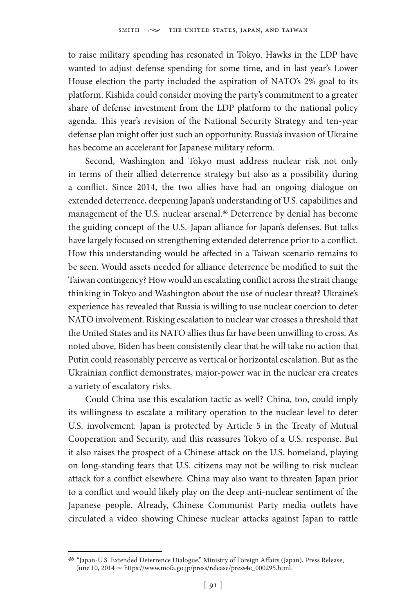to raise military spending has resonated in Tokyo. Hawks in the LDP have wanted to adjust defense spending for some time, and in last year's Lower House election the party included the aspiration of NATO's 2% goal to its platform. Kishida could consider moving the party's commitment to a greater share of defense investment from the LDP platform to the national policy agenda. This year's revision of the National Security Strategy and ten-year defense plan might offer just such an opportunity. Russia's invasion of Ukraine has become an accelerant for Japanese military reform.

Second, Washington and Tokyo must address nuclear risk not only in terms of their allied deterrence strategy but also as a possibility during a conflict. Since 2014, the two allies have had an ongoing dialogue on extended deterrence, deepening Japan's understanding of U.S. capabilities and management of the U.S. nuclear arsenal.*<sup>46</sup>* Deterrence by denial has become the guiding concept of the U.S.-Japan alliance for Japan's defenses. But talks have largely focused on strengthening extended deterrence prior to a conflict. How this understanding would be affected in a Taiwan scenario remains to be seen. Would assets needed for alliance deterrence be modified to suit the Taiwan contingency? How would an escalating conflict across the strait change thinking in Tokyo and Washington about the use of nuclear threat? Ukraine's experience has revealed that Russia is willing to use nuclear coercion to deter NATO involvement. Risking escalation to nuclear war crosses a threshold that the United States and its NATO allies thus far have been unwilling to cross. As noted above, Biden has been consistently clear that he will take no action that Putin could reasonably perceive as vertical or horizontal escalation. But as the Ukrainian conflict demonstrates, major-power war in the nuclear era creates a variety of escalatory risks.

Could China use this escalation tactic as well? China, too, could imply its willingness to escalate a military operation to the nuclear level to deter U.S. involvement. Japan is protected by Article 5 in the Treaty of Mutual Cooperation and Security, and this reassures Tokyo of a U.S. response. But it also raises the prospect of a Chinese attack on the U.S. homeland, playing on long-standing fears that U.S. citizens may not be willing to risk nuclear attack for a conflict elsewhere. China may also want to threaten Japan prior to a conflict and would likely play on the deep anti-nuclear sentiment of the Japanese people. Already, Chinese Communist Party media outlets have circulated a video showing Chinese nuclear attacks against Japan to rattle

*<sup>46</sup>* "Japan-U.S. Extended Deterrence Dialogue," Ministry of Foreign Affairs (Japan), Press Release, June 10, 2014  $\sim$  https://www.mofa.go.jp/press/release/press4e\_000295.html.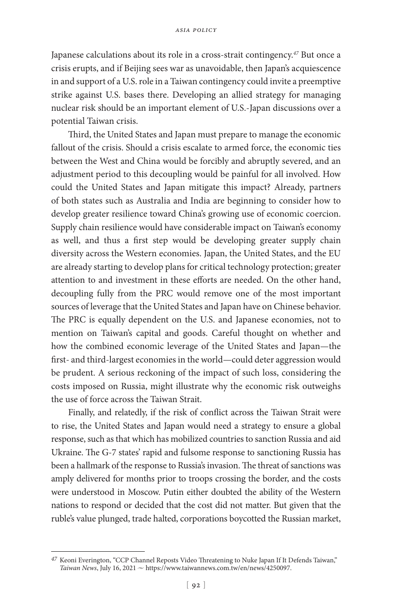Japanese calculations about its role in a cross-strait contingency.*<sup>47</sup>* But once a crisis erupts, and if Beijing sees war as unavoidable, then Japan's acquiescence in and support of a U.S. role in a Taiwan contingency could invite a preemptive strike against U.S. bases there. Developing an allied strategy for managing nuclear risk should be an important element of U.S.-Japan discussions over a potential Taiwan crisis.

Third, the United States and Japan must prepare to manage the economic fallout of the crisis. Should a crisis escalate to armed force, the economic ties between the West and China would be forcibly and abruptly severed, and an adjustment period to this decoupling would be painful for all involved. How could the United States and Japan mitigate this impact? Already, partners of both states such as Australia and India are beginning to consider how to develop greater resilience toward China's growing use of economic coercion. Supply chain resilience would have considerable impact on Taiwan's economy as well, and thus a first step would be developing greater supply chain diversity across the Western economies. Japan, the United States, and the EU are already starting to develop plans for critical technology protection; greater attention to and investment in these efforts are needed. On the other hand, decoupling fully from the PRC would remove one of the most important sources of leverage that the United States and Japan have on Chinese behavior. The PRC is equally dependent on the U.S. and Japanese economies, not to mention on Taiwan's capital and goods. Careful thought on whether and how the combined economic leverage of the United States and Japan—the first- and third-largest economies in the world—could deter aggression would be prudent. A serious reckoning of the impact of such loss, considering the costs imposed on Russia, might illustrate why the economic risk outweighs the use of force across the Taiwan Strait.

Finally, and relatedly, if the risk of conflict across the Taiwan Strait were to rise, the United States and Japan would need a strategy to ensure a global response, such as that which has mobilized countries to sanction Russia and aid Ukraine. The G-7 states' rapid and fulsome response to sanctioning Russia has been a hallmark of the response to Russia's invasion. The threat of sanctions was amply delivered for months prior to troops crossing the border, and the costs were understood in Moscow. Putin either doubted the ability of the Western nations to respond or decided that the cost did not matter. But given that the ruble's value plunged, trade halted, corporations boycotted the Russian market,

*<sup>47</sup>* Keoni Everington, "CCP Channel Reposts Video Threatening to Nuke Japan If It Defends Taiwan," Taiwan News, July 16, 2021  $\sim$  https://www.taiwannews.com.tw/en/news/4250097.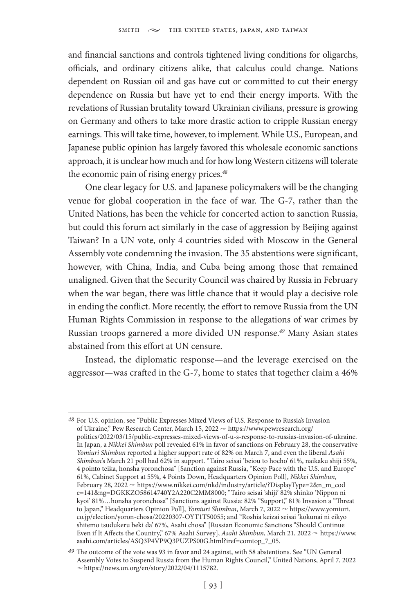and financial sanctions and controls tightened living conditions for oligarchs, officials, and ordinary citizens alike, that calculus could change. Nations dependent on Russian oil and gas have cut or committed to cut their energy dependence on Russia but have yet to end their energy imports. With the revelations of Russian brutality toward Ukrainian civilians, pressure is growing on Germany and others to take more drastic action to cripple Russian energy earnings. This will take time, however, to implement. While U.S., European, and Japanese public opinion has largely favored this wholesale economic sanctions approach, it is unclear how much and for how long Western citizens will tolerate the economic pain of rising energy prices.*<sup>48</sup>*

One clear legacy for U.S. and Japanese policymakers will be the changing venue for global cooperation in the face of war. The G-7, rather than the United Nations, has been the vehicle for concerted action to sanction Russia, but could this forum act similarly in the case of aggression by Beijing against Taiwan? In a UN vote, only 4 countries sided with Moscow in the General Assembly vote condemning the invasion. The 35 abstentions were significant, however, with China, India, and Cuba being among those that remained unaligned. Given that the Security Council was chaired by Russia in February when the war began, there was little chance that it would play a decisive role in ending the conflict. More recently, the effort to remove Russia from the UN Human Rights Commission in response to the allegations of war crimes by Russian troops garnered a more divided UN response.*<sup>49</sup>* Many Asian states abstained from this effort at UN censure.

Instead, the diplomatic response—and the leverage exercised on the aggressor—was crafted in the G-7, home to states that together claim a 46%

*<sup>48</sup>* For U.S. opinion, see "Public Expresses Mixed Views of U.S. Response to Russia's Invasion of Ukraine," Pew Research Center, March 15, 2022  $\sim$  https://www.pewresearch.org/ politics/2022/03/15/public-expresses-mixed-views-of-u-s-response-to-russias-invasion-of-ukraine. In Japan, a *Nikkei Shimbun* poll revealed 61% in favor of sanctions on February 28, the conservative *Yomiuri Shimbun* reported a higher support rate of 82% on March 7, and even the liberal *Asahi Shimbun*'s March 21 poll had 62% in support. "Tairo seisai 'beiou to hocho' 61%, naikaku shiji 55%, 4 pointo teika, honsha yoronchosa" [Sanction against Russia, "Keep Pace with the U.S. and Europe" 61%, Cabinet Support at 55%, 4 Points Down, Headquarters Opinion Poll], *Nikkei Shimbun*, February 28, 2022 ~ https://www.nikkei.com/nkd/industry/article/?DisplayType=2&n\_m\_cod e=141&ng=DGKKZO58614740Y2A220C2MM8000; "Tairo seisai 'shiji' 82% shinko 'Nippon ni kyoi' 81%…honsha yoronchosa" [Sanctions against Russia: 82% "Support," 81% Invasion a "Threat to Japan," Headquarters Opinion Poll], *Yomiuri Shimbun*, March 7, 2022  $\sim$  https://www.yomiuri. co.jp/election/yoron-chosa/20220307-OYT1T50055; and "Roshia keizai seisai 'kokunai ni eikyo shitemo tsudukeru beki da' 67%, Asahi chosa" [Russian Economic Sanctions "Should Continue Even if It Affects the Country," 67% Asahi Survey], *Asahi Shimbun*, March 21, 2022  $\sim$  https://www. asahi.com/articles/ASQ3P4VP9Q3PUZPS00G.html?iref=comtop\_7\_05.

*<sup>49</sup>* The outcome of the vote was 93 in favor and 24 against, with 58 abstentions. See "UN General Assembly Votes to Suspend Russia from the Human Rights Council," United Nations, April 7, 2022  $\sim$  https://news.un.org/en/story/2022/04/1115782.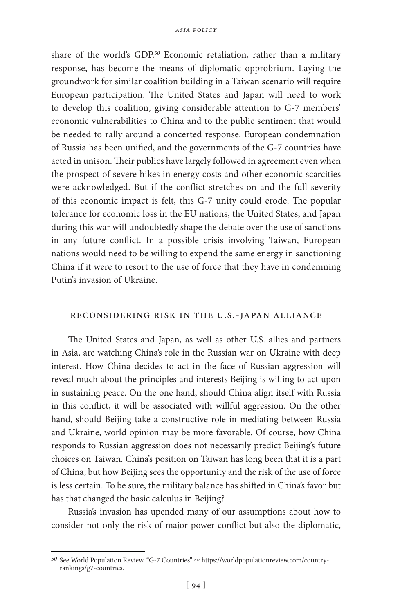share of the world's GDP.*<sup>50</sup>* Economic retaliation, rather than a military response, has become the means of diplomatic opprobrium. Laying the groundwork for similar coalition building in a Taiwan scenario will require European participation. The United States and Japan will need to work to develop this coalition, giving considerable attention to G-7 members' economic vulnerabilities to China and to the public sentiment that would be needed to rally around a concerted response. European condemnation of Russia has been unified, and the governments of the G-7 countries have acted in unison. Their publics have largely followed in agreement even when the prospect of severe hikes in energy costs and other economic scarcities were acknowledged. But if the conflict stretches on and the full severity of this economic impact is felt, this G-7 unity could erode. The popular tolerance for economic loss in the EU nations, the United States, and Japan during this war will undoubtedly shape the debate over the use of sanctions in any future conflict. In a possible crisis involving Taiwan, European nations would need to be willing to expend the same energy in sanctioning China if it were to resort to the use of force that they have in condemning Putin's invasion of Ukraine.

### reconsidering risk in the u.s.-japan alliance

The United States and Japan, as well as other U.S. allies and partners in Asia, are watching China's role in the Russian war on Ukraine with deep interest. How China decides to act in the face of Russian aggression will reveal much about the principles and interests Beijing is willing to act upon in sustaining peace. On the one hand, should China align itself with Russia in this conflict, it will be associated with willful aggression. On the other hand, should Beijing take a constructive role in mediating between Russia and Ukraine, world opinion may be more favorable. Of course, how China responds to Russian aggression does not necessarily predict Beijing's future choices on Taiwan. China's position on Taiwan has long been that it is a part of China, but how Beijing sees the opportunity and the risk of the use of force is less certain. To be sure, the military balance has shifted in China's favor but has that changed the basic calculus in Beijing?

Russia's invasion has upended many of our assumptions about how to consider not only the risk of major power conflict but also the diplomatic,

<sup>&</sup>lt;sup>50</sup> See World Population Review, "G-7 Countries"  $\sim$  https://worldpopulationreview.com/countryrankings/g7-countries.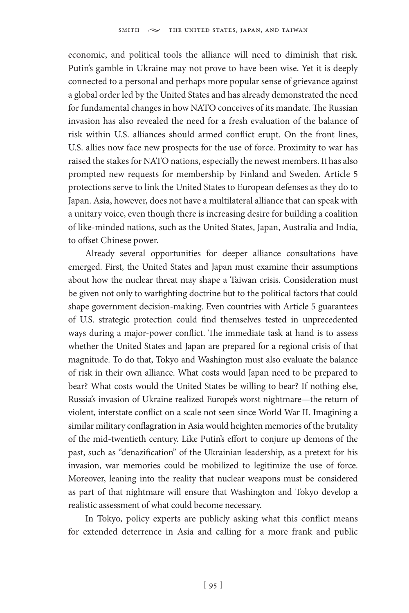economic, and political tools the alliance will need to diminish that risk. Putin's gamble in Ukraine may not prove to have been wise. Yet it is deeply connected to a personal and perhaps more popular sense of grievance against a global order led by the United States and has already demonstrated the need for fundamental changes in how NATO conceives of its mandate. The Russian invasion has also revealed the need for a fresh evaluation of the balance of risk within U.S. alliances should armed conflict erupt. On the front lines, U.S. allies now face new prospects for the use of force. Proximity to war has raised the stakes for NATO nations, especially the newest members. It has also prompted new requests for membership by Finland and Sweden. Article 5 protections serve to link the United States to European defenses as they do to Japan. Asia, however, does not have a multilateral alliance that can speak with a unitary voice, even though there is increasing desire for building a coalition of like-minded nations, such as the United States, Japan, Australia and India, to offset Chinese power.

Already several opportunities for deeper alliance consultations have emerged. First, the United States and Japan must examine their assumptions about how the nuclear threat may shape a Taiwan crisis. Consideration must be given not only to warfighting doctrine but to the political factors that could shape government decision-making. Even countries with Article 5 guarantees of U.S. strategic protection could find themselves tested in unprecedented ways during a major-power conflict. The immediate task at hand is to assess whether the United States and Japan are prepared for a regional crisis of that magnitude. To do that, Tokyo and Washington must also evaluate the balance of risk in their own alliance. What costs would Japan need to be prepared to bear? What costs would the United States be willing to bear? If nothing else, Russia's invasion of Ukraine realized Europe's worst nightmare—the return of violent, interstate conflict on a scale not seen since World War II. Imagining a similar military conflagration in Asia would heighten memories of the brutality of the mid-twentieth century. Like Putin's effort to conjure up demons of the past, such as "denazification" of the Ukrainian leadership, as a pretext for his invasion, war memories could be mobilized to legitimize the use of force. Moreover, leaning into the reality that nuclear weapons must be considered as part of that nightmare will ensure that Washington and Tokyo develop a realistic assessment of what could become necessary.

In Tokyo, policy experts are publicly asking what this conflict means for extended deterrence in Asia and calling for a more frank and public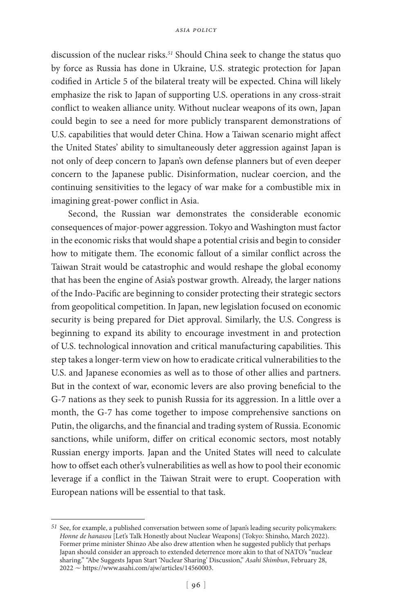discussion of the nuclear risks.*<sup>51</sup>* Should China seek to change the status quo by force as Russia has done in Ukraine, U.S. strategic protection for Japan codified in Article 5 of the bilateral treaty will be expected. China will likely emphasize the risk to Japan of supporting U.S. operations in any cross-strait conflict to weaken alliance unity. Without nuclear weapons of its own, Japan could begin to see a need for more publicly transparent demonstrations of U.S. capabilities that would deter China. How a Taiwan scenario might affect the United States' ability to simultaneously deter aggression against Japan is not only of deep concern to Japan's own defense planners but of even deeper concern to the Japanese public. Disinformation, nuclear coercion, and the continuing sensitivities to the legacy of war make for a combustible mix in imagining great-power conflict in Asia.

Second, the Russian war demonstrates the considerable economic consequences of major-power aggression. Tokyo and Washington must factor in the economic risks that would shape a potential crisis and begin to consider how to mitigate them. The economic fallout of a similar conflict across the Taiwan Strait would be catastrophic and would reshape the global economy that has been the engine of Asia's postwar growth. Already, the larger nations of the Indo-Pacific are beginning to consider protecting their strategic sectors from geopolitical competition. In Japan, new legislation focused on economic security is being prepared for Diet approval. Similarly, the U.S. Congress is beginning to expand its ability to encourage investment in and protection of U.S. technological innovation and critical manufacturing capabilities. This step takes a longer-term view on how to eradicate critical vulnerabilities to the U.S. and Japanese economies as well as to those of other allies and partners. But in the context of war, economic levers are also proving beneficial to the G-7 nations as they seek to punish Russia for its aggression. In a little over a month, the G-7 has come together to impose comprehensive sanctions on Putin, the oligarchs, and the financial and trading system of Russia. Economic sanctions, while uniform, differ on critical economic sectors, most notably Russian energy imports. Japan and the United States will need to calculate how to offset each other's vulnerabilities as well as how to pool their economic leverage if a conflict in the Taiwan Strait were to erupt. Cooperation with European nations will be essential to that task.

*<sup>51</sup>* See, for example, a published conversation between some of Japan's leading security policymakers: *Honne de hanasou* [Let's Talk Honestly about Nuclear Weapons] (Tokyo: Shinsho, March 2022). Former prime minister Shinzo Abe also drew attention when he suggested publicly that perhaps Japan should consider an approach to extended deterrence more akin to that of NATO's "nuclear sharing." "Abe Suggests Japan Start 'Nuclear Sharing' Discussion," *Asahi Shimbun*, February 28,  $2022 \sim$  https://www.asahi.com/ajw/articles/14560003.